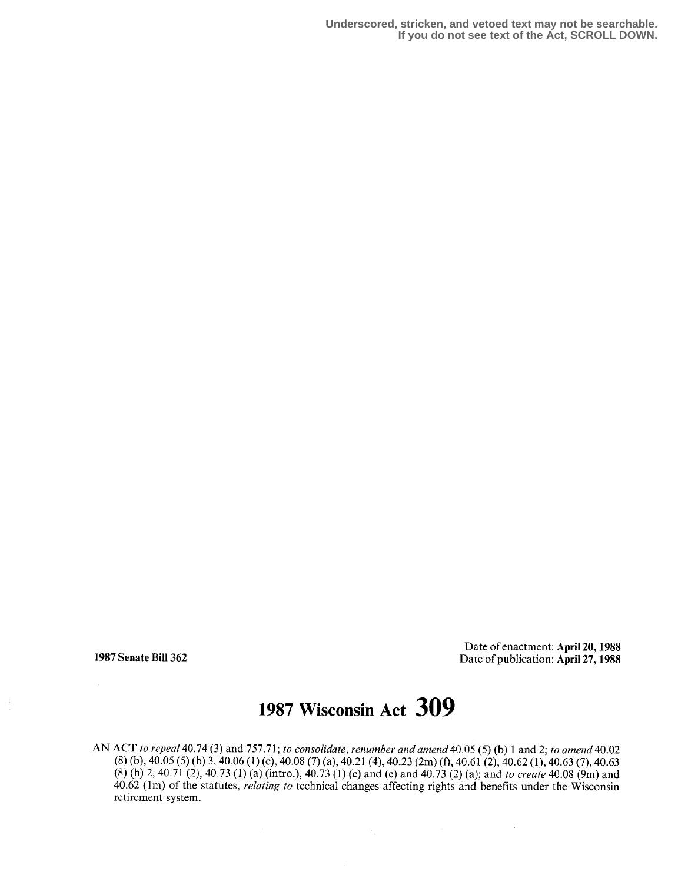**Underscored, stricken, and vetoed text may not be searchable. If you do not see text of the Act, SCROLL DOWN.**

Date of enactment: April 20, 1988 1987 Senate Bill 362 Date of publication: April 27, 1988

# 1987 Wisconsin Act 309

AN ACT to repeal 40.74 (3) and 757.71 ; to consolidate, renumber and amend 40.05 (5) (b) 1 and 2; to amend 40.02  $(8)$  (b), 40.05 (5) (b) 3, 40.06 (1) (c), 40.08 (7) (a), 40.21 (4), 40.23 (2m) (f), 40.61 (2), 40.62 (1), 40.63 (7), 40.63  $(8)$  (h) 2, 40.71 (2), 40.73 (1) (a) (intro.), 40.73 (1) (c) and (e) and 40.73 (2) (a); and to create 40.08 (9m) and 40 .62 (lm) of the statutes, relating to technical changes affecting rights and benefits under the Wisconsin retirement system .

 $\bar{z}$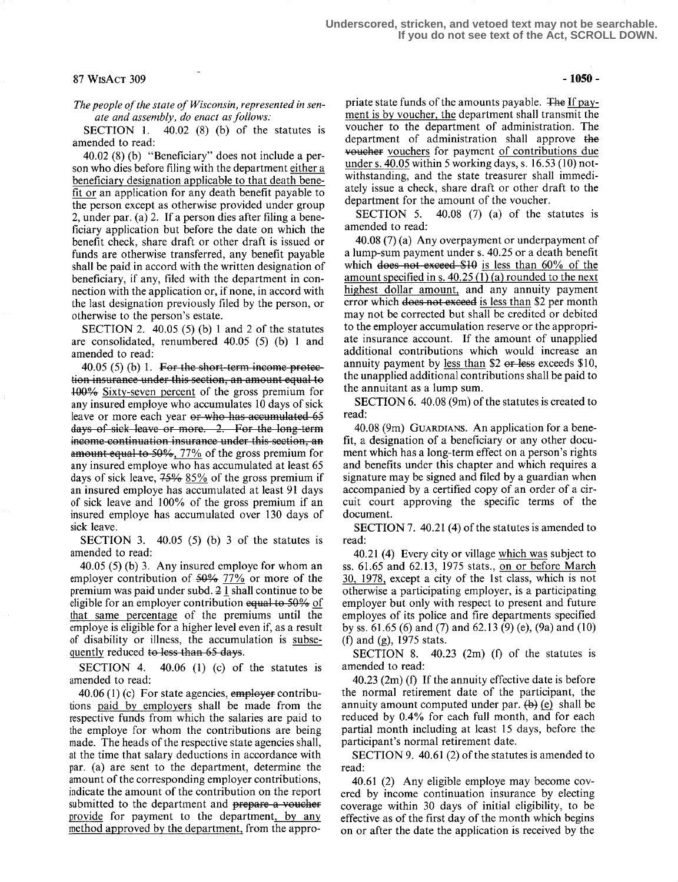## $87 W$ ISACT 309 -1050 -

The people of the state of Wisconsin, represented in senate and assembly, do enact as follows:

SECTION 1.  $40.02$  (8) (b) of the statutes is amended to read:

40.02 (8) (b) "Beneficiary" does not include a person who dies before filing with the department either a beneficiary designation applicable to that death benefit or an application for any death benefit payable to the person except as otherwise provided under group 2, under par. (a) 2. If a person dies after filing a beneficiary application but before the date on which the benefit check, share draft or other draft is issued or funds are otherwise transferred, any benefit payable shall be paid in accord with the written designation of beneficiary, if any, filed with the department in connection with the application or, if none, in accord with the last designation previously filed by the person, or otherwise to the person's estate .

SECTION 2.  $40.05$  (5) (b) 1 and 2 of the statutes are consolidated, renumbered 40.05 (5) (b) 1 and amended to read :

 $40.05$  (5) (b) 1. For the short-term income protec-100-% Sixty-seven percent of the gross premium for any insured employe who accumulates 10 days of sick leave or more each year or who has accumulated 65 days of sick leave or more. 2. For the long-term income continuation insurance under this section, an amount equal to 50%, 77% of the gross premium for any insured employe who has accumulated at least 65 days of sick leave,  $75\%$   $85\%$  of the gross premium if an insured employe has accumulated at least 91 days of sick leave and 100% of the gross premium if an insured employe has accumulated over 130 days of sick leave.

SECTION 3. 40.05 (5) (b) 3 of the statutes is amended to read:

40.05 (5) (b) 3. Any insured employe for whom an employer contribution of  $50\%$  77% or more of the premium was paid under subd. 2 1 shall continue to be eligible for an employer contribution equal to 50% of that same percentage of the premiums until the employe is eligible for a higher level even if, as a result of disability or illness, the accumulation is subsequently reduced to less than 65 days.

SECTION 4. 40.06 (1) (c) of the statutes is amended to read:

 $40.06$  (1) (c) For state agencies, employer contributions paid by employers shall be made from the respective funds from which the salaries are paid to the employe for whom the contributions are being made. The heads of the respective state agencies shall, at the time that salary deductions in accordance with par. (a) are sent to the department, determine the amount of the corresponding employer contributions, indicate the amount of the contribution on the report submitted to the department and prepare a voucher provide for payment to the department, by any method approved by the department, from the appro-

priate state funds of the amounts payable. The If payment is by voucher, the department shall transmit the voucher to the department of administration . The department of administration shall approve the voucher vouchers for payment of contributions due under s. 40.05 within 5 working days, s. 16.53 (10) notwithstanding, and the state treasurer shall immediately issue a check, share draft or other draft to the department for the amount of the voucher.<br>SECTION 5. 40.08 (7) (a) of the s

 $40.08$  (7) (a) of the statutes is amended to read:

40.08 (7) (a) Any overpayment or underpayment of a lump-sum payment under s. 40.25 or a death benefit which does not exceed  $$10$  is less than 60% of the amount specified in s.  $40.25$  (1) (a) rounded to the next highest dollar amount, and any annuity payment error which does not exceed is less than \$2 per month may not be corrected but shall be credited or debited to the employer accumulation reserve or the appropriate insurance account. If the amount of unapplied additional contributions which would increase an annuity payment by less than  $$2$  or less exceeds  $$10$ , the unapplied additional contributions shall be paid to the annuitant as a lump sum.

SECTION 6. 40.08 (9m) of the statutes is created to read:

40.08 (9m) GUARDIANS. An application for a benefit, a designation of a beneficiary or any other document which has a long-term effect on a person's rights and benefits under this chapter and which requires a signature may be signed and filed by a guardian when accompanied by a certified copy of an order of a circuit court approving the specific terms of the document.

SECTION 7. 40.21 (4) of the statutes is amended to read:

40.21 (4) Every city or village which was subject to ss. 61.65 and 62.13, 1975 stats., on or before March 30, 1978, except a city of the 1st class, which is not otherwise a participating employer, is a participating employer but only with respect to present and future employes of its police and fire departments specified by ss . 61 .65 (6) and (7) and 62.13 (9) (e), (9a) and (10) (f) and (g), 1975 stats.

SECTION 8. 40.23 (2m) (f) of the statutes is amended to read:

40.23 (2m) (f) If the annuity effective date is before the normal retirement date of the participant, the annuity amount computed under par.  $(b)$  (e) shall be reduced by 0.4% for each full month, and for each partial month including at least 15 days, before the participant's normal retirement date.

SECTION 9. 40.61 (2) of the statutes is amended to read:

40.61 (2) Any eligible employe may become covered by income continuation insurance by electing coverage within 30 days of initial eligibility, to be effective as of the first day of the month which begins on or after the date the application is received by the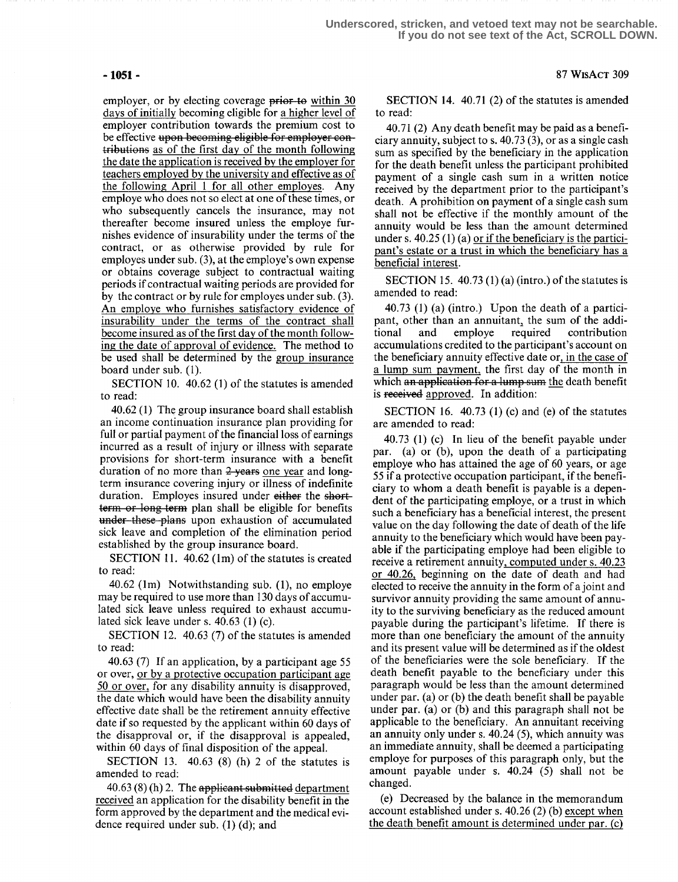employer, or by electing coverage prior to within 30 days of initially becoming eligible for a higher level of employer contribution towards the premium cost to be effective upon becoming eligible for employer contributions as of the first day of the month following the date the application is received by the employer for teachers employed by the university and effective as of the following April 1 for all other employes. Any employe who does not so elect at one of these times, or who subsequently cancels the insurance, may not thereafter become insured unless the employe furnishes evidence of insurability under the terms of the contract, or as otherwise provided by rule for employes under sub. (3), at the employe's own expense or obtains coverage subject to contractual waiting periods if contractual waiting periods are provided for by the contract or by rule for employes under sub. (3). An employe who furnishes satisfactory evidence of insurability under the terms of the contract shall become insured as of the first day of the month following the date of approval of evidence. The method to be used shall be determined by the group insurance board under sub.  $(1)$ .

SECTION 10.  $40.62$  (1) of the statutes is amended to read:

40.62 (1) The group insurance board shall establish an income continuation insurance plan providing for full or partial payment of the financial loss of earnings incurred as a result of injury or illness with separate provisions for short-term insurance with a benefit duration of no more than 2 years one year and longterm insurance covering injury or illness of indefinite duration. Employes insured under either the short-<br>term or long term plan shall be eligible for benefits **under** these plans upon exhaustion of accumulated sick leave and completion of the elimination period established by the group insurance board.

SECTION 11.  $40.62$  (1m) of the statutes is created to read:

40.62 (lm) Notwithstanding sub. (1), no employe may be required to use more than 130 days of accumulated sick leave unless required to exhaust accumulated sick leave under s.  $40.63$  (1) (c).

SECTION 12. 40.63 (7) of the statutes is amended to read:

40.63 (7) If an application, by a participant age 55 or over, or by a protective occupation participant age 50 or over, for any disability annuity is disapproved, the date which would have been the disability annuity effective date shall be the retirement annuity effective date if so requested by the applicant within 60 days of the disapproval or, if the disapproval is appealed, within 60 days of final disposition of the appeal.

SECTION 13.  $40.63$  (8) (h) 2 of the statutes is amended to read:

 $40.63(8)$  (h) 2. The applicant submitted department received an application for the disability benefit in the form approved by the department and the medical evidence required under sub. (1) (d); and

SECTION 14.  $40.71(2)$  of the statutes is amended to read:

40.71 (2) Any death benefit may be paid as a beneficiary annuity, subject to s. 40.73 (3), or as a single cash sum as specified by the beneficiary in the application for the death benefit unless the participant prohibited payment of a single cash sum in a written notice received by the department prior to the participant's death. A prohibition on payment of a single cash sum shall not be effective if the monthly amount of the annuity would be less than the amount determined under s. 40.25 (1) (a) or if the beneficiary is the participant's estate or a trust in which the beneficiary has a beneficial interest.

SECTION 15. 40.73 (1) (a) (intro.) of the statutes is amended to read:

40.73 (1) (a) (intro.) Upon the death of a participant, other than an annuitant, the sum of the additional and employe required contribution contribution accumulations credited to the participant's account on the beneficiary annuity effective date or, in the case of a lump sum payment, the first day of the month in which an application for a lump sum the death benefit is received approved. In addition:

SECTION 16.  $40.73$  (1) (c) and (e) of the statutes are amended to read:

40.73 (1) (c) In lieu of the benefit payable under par. (a) or (b), upon the death of a participating employe who has attained the age of 60 years, or age 55 if a protective occupation participant, if the beneficiary to whom a death benefit is payable is a dependent of the participating employe, or a trust in which such a beneficiary has a beneficial interest, the present value on the day following the date of death of the life annuity to the beneficiary which would have been payable if the participating employe had been eligible to receive a retirement annuity, computed under s. 40.23 or 40.26, beginning on the date of death and had elected to receive the annuity in the form of a joint and survivor annuity providing the same amount of annuity to the surviving beneficiary as the reduced amount payable during the participant's lifetime. If there is more than one beneficiary the amount of the annuity and its present value will be determined as if the oldest of the beneficiaries were the sole beneficiary. If the death benefit payable to the beneficiary under this paragraph would be less than the amount determined under par. (a) or (b) the death benefit shall be payable under par. (a) or (b) and this paragraph shall not be applicable to the beneficiary. An annuitant receiving an annuity only under s.  $40.24$  (5), which annuity was an immediate annuity, shall be deemed a participating employe for purposes of this paragraph only, but the amount payable under s. 40.24 (5) shall not be changed.

(e) Decreased by the balance in the memorandum account established under s. 40.26 (2) (b) except when the death benefit amount is determined under par. (c)